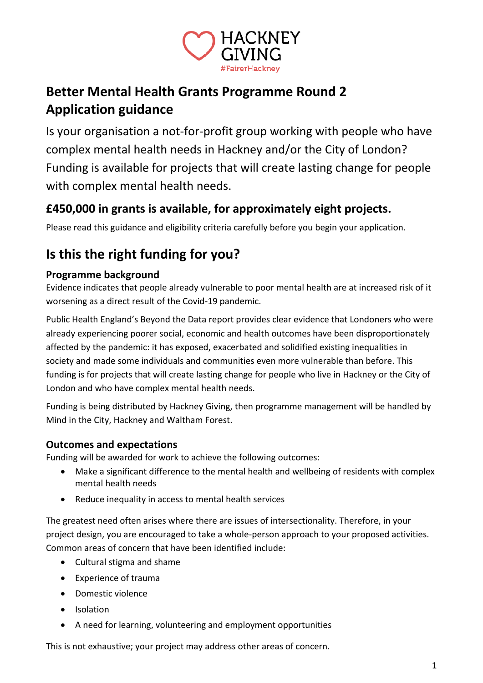

## **Better Mental Health Grants Programme Round 2 Application guidance**

Is your organisation a not-for-profit group working with people who have complex mental health needs in Hackney and/or the City of London? Funding is available for projects that will create lasting change for people with complex mental health needs.

## **£450,000 in grants is available, for approximately eight projects.**

Please read this guidance and eligibility criteria carefully before you begin your application.

# **Is this the right funding for you?**

## **Programme background**

Evidence indicates that people already vulnerable to poor mental health are at increased risk of it worsening as a direct result of the Covid-19 pandemic.

Public Health England's Beyond the Data report provides clear evidence that Londoners who were already experiencing poorer social, economic and health outcomes have been disproportionately affected by the pandemic: it has exposed, exacerbated and solidified existing inequalities in society and made some individuals and communities even more vulnerable than before. This funding is for projects that will create lasting change for people who live in Hackney or the City of London and who have complex mental health needs.

Funding is being distributed by Hackney Giving, then programme management will be handled by Mind in the City, Hackney and Waltham Forest.

## **Outcomes and expectations**

Funding will be awarded for work to achieve the following outcomes:

- Make a significant difference to the mental health and wellbeing of residents with complex mental health needs
- Reduce inequality in access to mental health services

The greatest need often arises where there are issues of intersectionality. Therefore, in your project design, you are encouraged to take a whole-person approach to your proposed activities. Common areas of concern that have been identified include:

- Cultural stigma and shame
- Experience of trauma
- Domestic violence
- Isolation
- A need for learning, volunteering and employment opportunities

This is not exhaustive; your project may address other areas of concern.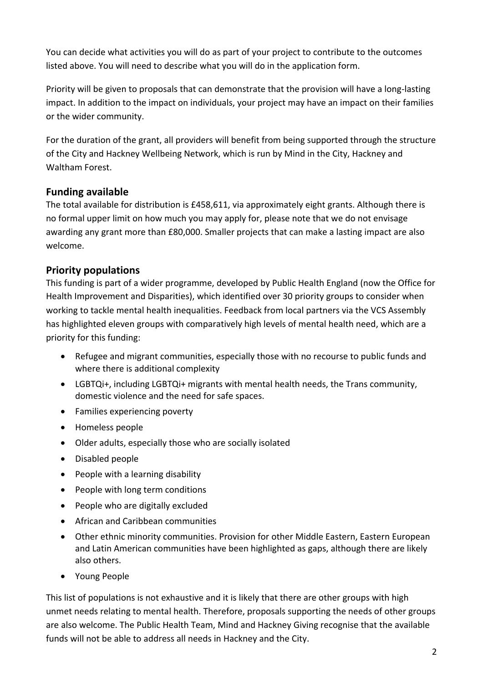You can decide what activities you will do as part of your project to contribute to the outcomes listed above. You will need to describe what you will do in the application form.

Priority will be given to proposals that can demonstrate that the provision will have a long-lasting impact. In addition to the impact on individuals, your project may have an impact on their families or the wider community.

For the duration of the grant, all providers will benefit from being supported through the structure of the City and Hackney Wellbeing Network, which is run by Mind in the City, Hackney and Waltham Forest.

## **Funding available**

The total available for distribution is £458,611, via approximately eight grants. Although there is no formal upper limit on how much you may apply for, please note that we do not envisage awarding any grant more than £80,000. Smaller projects that can make a lasting impact are also welcome.

## **Priority populations**

This funding is part of a wider programme, developed by Public Health England (now the Office for Health Improvement and Disparities), which identified over 30 priority groups to consider when working to tackle mental health inequalities. Feedback from local partners via the VCS Assembly has highlighted eleven groups with comparatively high levels of mental health need, which are a priority for this funding:

- Refugee and migrant communities, especially those with no recourse to public funds and where there is additional complexity
- LGBTQi+, including LGBTQi+ migrants with mental health needs, the Trans community, domestic violence and the need for safe spaces.
- Families experiencing poverty
- Homeless people
- Older adults, especially those who are socially isolated
- Disabled people
- People with a learning disability
- People with long term conditions
- People who are digitally excluded
- African and Caribbean communities
- Other ethnic minority communities. Provision for other Middle Eastern, Eastern European and Latin American communities have been highlighted as gaps, although there are likely also others.
- Young People

This list of populations is not exhaustive and it is likely that there are other groups with high unmet needs relating to mental health. Therefore, proposals supporting the needs of other groups are also welcome. The Public Health Team, Mind and Hackney Giving recognise that the available funds will not be able to address all needs in Hackney and the City.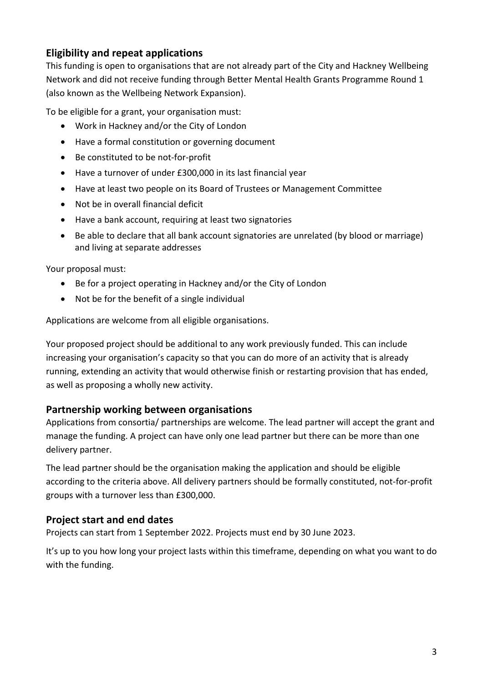## **Eligibility and repeat applications**

This funding is open to organisations that are not already part of the City and Hackney Wellbeing Network and did not receive funding through Better Mental Health Grants Programme Round 1 (also known as the Wellbeing Network Expansion).

To be eligible for a grant, your organisation must:

- Work in Hackney and/or the City of London
- Have a formal constitution or governing document
- Be constituted to be not-for-profit
- Have a turnover of under £300,000 in its last financial year
- Have at least two people on its Board of Trustees or Management Committee
- Not be in overall financial deficit
- Have a bank account, requiring at least two signatories
- Be able to declare that all bank account signatories are unrelated (by blood or marriage) and living at separate addresses

Your proposal must:

- Be for a project operating in Hackney and/or the City of London
- Not be for the benefit of a single individual

Applications are welcome from all eligible organisations.

Your proposed project should be additional to any work previously funded. This can include increasing your organisation's capacity so that you can do more of an activity that is already running, extending an activity that would otherwise finish or restarting provision that has ended, as well as proposing a wholly new activity.

#### **Partnership working between organisations**

Applications from consortia/ partnerships are welcome. The lead partner will accept the grant and manage the funding. A project can have only one lead partner but there can be more than one delivery partner.

The lead partner should be the organisation making the application and should be eligible according to the criteria above. All delivery partners should be formally constituted, not-for-profit groups with a turnover less than £300,000.

#### **Project start and end dates**

Projects can start from 1 September 2022. Projects must end by 30 June 2023.

It's up to you how long your project lasts within this timeframe, depending on what you want to do with the funding.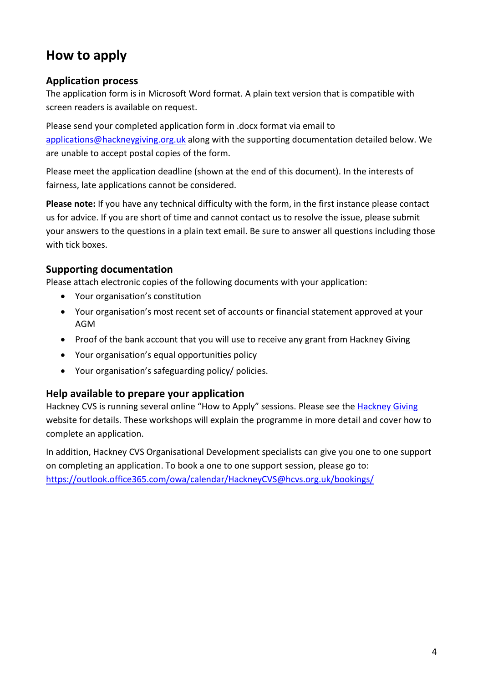## **How to apply**

#### **Application process**

The application form is in Microsoft Word format. A plain text version that is compatible with screen readers is available on request.

Please send your completed application form in .docx format via email to [applications@hackneygiving.org.uk](mailto:applications@hackneygiving.org.uk) along with the supporting documentation detailed below. We are unable to accept postal copies of the form.

Please meet the application deadline (shown at the end of this document). In the interests of fairness, late applications cannot be considered.

**Please note:** If you have any technical difficulty with the form, in the first instance please contact us for advice. If you are short of time and cannot contact us to resolve the issue, please submit your answers to the questions in a plain text email. Be sure to answer all questions including those with tick boxes.

## **Supporting documentation**

Please attach electronic copies of the following documents with your application:

- Your organisation's constitution
- Your organisation's most recent set of accounts or financial statement approved at your AGM
- Proof of the bank account that you will use to receive any grant from Hackney Giving
- Your organisation's equal opportunities policy
- Your organisation's safeguarding policy/ policies.

#### **Help available to prepare your application**

Hackney CVS is running several online "How to Apply" sessions. Please see the [Hackney Giving](http://www.hackneygiving.org.uk/) website for details. These workshops will explain the programme in more detail and cover how to complete an application.

In addition, Hackney CVS Organisational Development specialists can give you one to one support on completing an application. To book a one to one support session, please go to: <https://outlook.office365.com/owa/calendar/HackneyCVS@hcvs.org.uk/bookings/>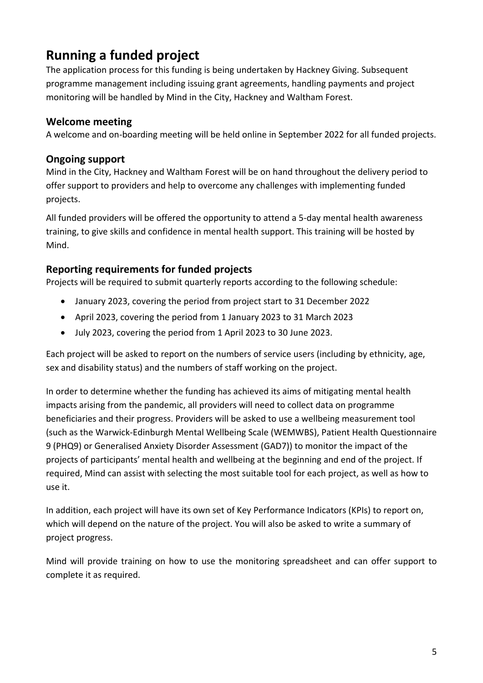## **Running a funded project**

The application process for this funding is being undertaken by Hackney Giving. Subsequent programme management including issuing grant agreements, handling payments and project monitoring will be handled by Mind in the City, Hackney and Waltham Forest.

## **Welcome meeting**

A welcome and on-boarding meeting will be held online in September 2022 for all funded projects.

#### **Ongoing support**

Mind in the City, Hackney and Waltham Forest will be on hand throughout the delivery period to offer support to providers and help to overcome any challenges with implementing funded projects.

All funded providers will be offered the opportunity to attend a 5-day mental health awareness training, to give skills and confidence in mental health support. This training will be hosted by Mind.

#### **Reporting requirements for funded projects**

Projects will be required to submit quarterly reports according to the following schedule:

- January 2023, covering the period from project start to 31 December 2022
- April 2023, covering the period from 1 January 2023 to 31 March 2023
- July 2023, covering the period from 1 April 2023 to 30 June 2023.

Each project will be asked to report on the numbers of service users (including by ethnicity, age, sex and disability status) and the numbers of staff working on the project.

In order to determine whether the funding has achieved its aims of mitigating mental health impacts arising from the pandemic, all providers will need to collect data on programme beneficiaries and their progress. Providers will be asked to use a wellbeing measurement tool (such as the Warwick-Edinburgh Mental Wellbeing Scale (WEMWBS), Patient Health Questionnaire 9 (PHQ9) or Generalised Anxiety Disorder Assessment (GAD7)) to monitor the impact of the projects of participants' mental health and wellbeing at the beginning and end of the project. If required, Mind can assist with selecting the most suitable tool for each project, as well as how to use it.

In addition, each project will have its own set of Key Performance Indicators (KPIs) to report on, which will depend on the nature of the project. You will also be asked to write a summary of project progress.

Mind will provide training on how to use the monitoring spreadsheet and can offer support to complete it as required.